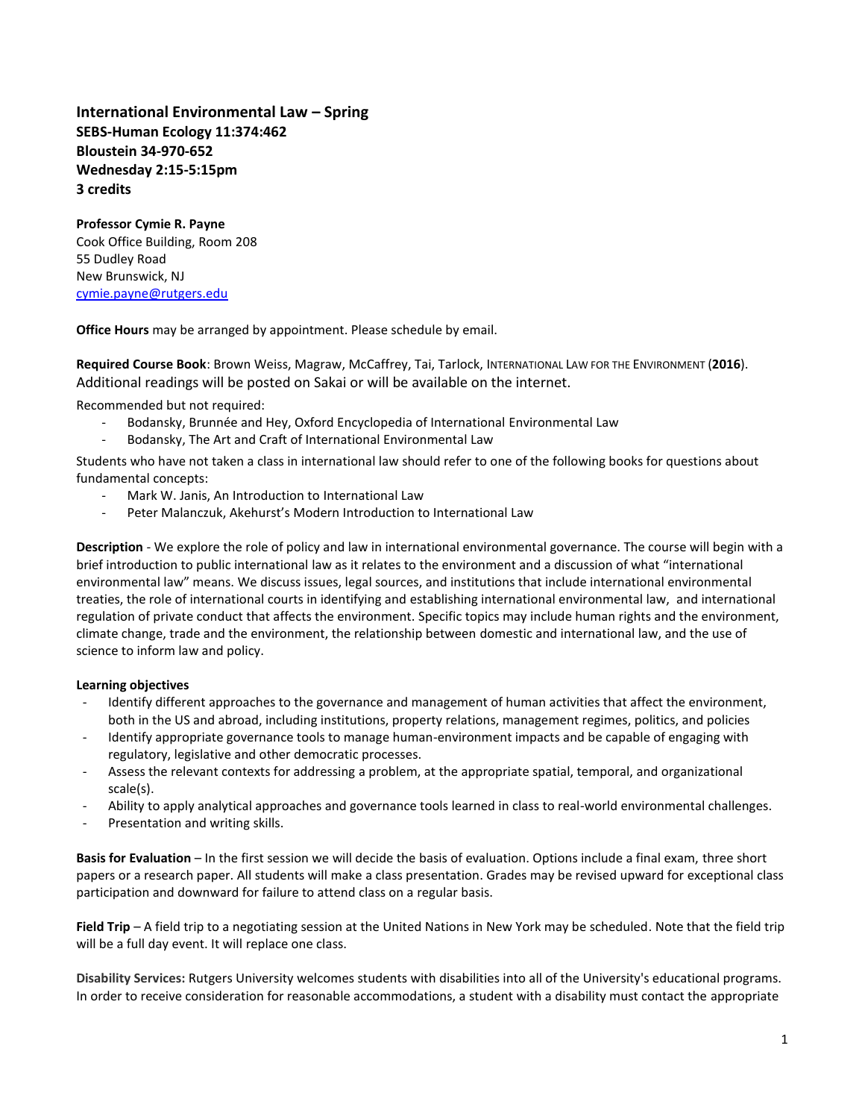**International Environmental Law – Spring SEBS-Human Ecology 11:374:462 Bloustein 34-970-652 Wednesday 2:15-5:15pm 3 credits**

**Professor Cymie R. Payne** Cook Office Building, Room 208 55 Dudley Road New Brunswick, NJ [cymie.payne@rutgers.edu](mailto:cymie.payne@rutgers.edu)

**Office Hours** may be arranged by appointment. Please schedule by email.

**Required Course Book**: Brown Weiss, Magraw, McCaffrey, Tai, Tarlock, INTERNATIONAL LAW FOR THE ENVIRONMENT (**2016**). Additional readings will be posted on Sakai or will be available on the internet.

Recommended but not required:

- Bodansky, Brunnée and Hey, Oxford Encyclopedia of International Environmental Law
- Bodansky, The Art and Craft of International Environmental Law

Students who have not taken a class in international law should refer to one of the following books for questions about fundamental concepts:

- Mark W. Janis, An Introduction to International Law
- Peter Malanczuk, Akehurst's Modern Introduction to International Law

**Description** - We explore the role of policy and law in international environmental governance. The course will begin with a brief introduction to public international law as it relates to the environment and a discussion of what "international environmental law" means. We discuss issues, legal sources, and institutions that include international environmental treaties, the role of international courts in identifying and establishing international environmental law, and international regulation of private conduct that affects the environment. Specific topics may include human rights and the environment, climate change, trade and the environment, the relationship between domestic and international law, and the use of science to inform law and policy.

## **Learning objectives**

- Identify different approaches to the governance and management of human activities that affect the environment, both in the US and abroad, including institutions, property relations, management regimes, politics, and policies
- Identify appropriate governance tools to manage human-environment impacts and be capable of engaging with regulatory, legislative and other democratic processes.
- Assess the relevant contexts for addressing a problem, at the appropriate spatial, temporal, and organizational scale(s).
- Ability to apply analytical approaches and governance tools learned in class to real-world environmental challenges.
- Presentation and writing skills.

**Basis for Evaluation** – In the first session we will decide the basis of evaluation. Options include a final exam, three short papers or a research paper. All students will make a class presentation. Grades may be revised upward for exceptional class participation and downward for failure to attend class on a regular basis.

**Field Trip** – A field trip to a negotiating session at the United Nations in New York may be scheduled. Note that the field trip will be a full day event. It will replace one class.

**Disability Services:** Rutgers University welcomes students with disabilities into all of the University's educational programs. In order to receive consideration for reasonable accommodations, a student with a disability must contact the appropriate